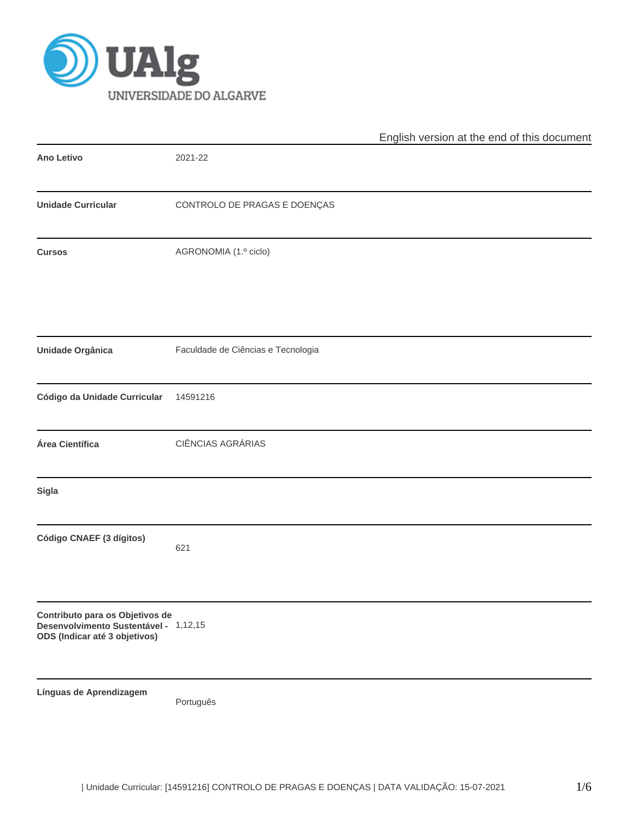

|                                                                                                           |                                    | English version at the end of this document |
|-----------------------------------------------------------------------------------------------------------|------------------------------------|---------------------------------------------|
| Ano Letivo                                                                                                | 2021-22                            |                                             |
| <b>Unidade Curricular</b>                                                                                 | CONTROLO DE PRAGAS E DOENÇAS       |                                             |
| <b>Cursos</b>                                                                                             | AGRONOMIA (1.º ciclo)              |                                             |
| Unidade Orgânica                                                                                          | Faculdade de Ciências e Tecnologia |                                             |
| Código da Unidade Curricular                                                                              | 14591216                           |                                             |
| Área Científica                                                                                           | CIÊNCIAS AGRÁRIAS                  |                                             |
| Sigla                                                                                                     |                                    |                                             |
| Código CNAEF (3 dígitos)                                                                                  | 621                                |                                             |
| Contributo para os Objetivos de<br>Desenvolvimento Sustentável - 1,12,15<br>ODS (Indicar até 3 objetivos) |                                    |                                             |
| Línguas de Aprendizagem                                                                                   | Português                          |                                             |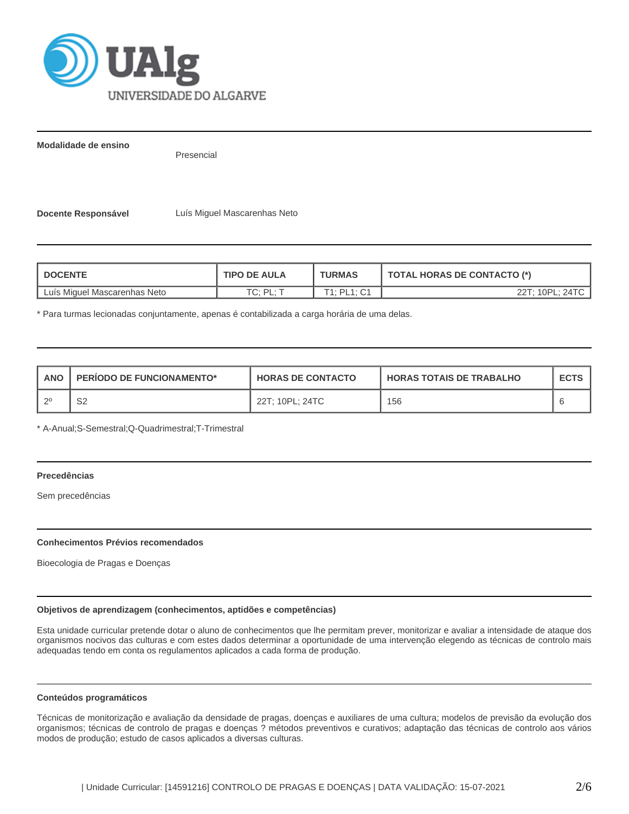

**Modalidade de ensino**

Presencial

**Docente Responsável** Luís Miguel Mascarenhas Neto

| <b>DOCENTE</b>               | <b>TIPO DE AULA</b> | <b>TURMAS</b> | <b>TOTAL HORAS DE CONTACTO (*)</b> |  |  |
|------------------------------|---------------------|---------------|------------------------------------|--|--|
| Luís Miguel Mascarenhas Neto | $TC \cdot DI \cdot$ | T1: PL1: C1   | 22T: 10PL: 24TC                    |  |  |

\* Para turmas lecionadas conjuntamente, apenas é contabilizada a carga horária de uma delas.

| <b>ANO</b> | <b>PERIODO DE FUNCIONAMENTO*</b> | <b>HORAS DE CONTACTO</b> | <b>HORAS TOTAIS DE TRABALHO</b> | <b>ECTS</b> |
|------------|----------------------------------|--------------------------|---------------------------------|-------------|
|            | ch<br>ےت                         | 22T; 10PL; 24TC          | 156                             |             |

\* A-Anual;S-Semestral;Q-Quadrimestral;T-Trimestral

# **Precedências**

Sem precedências

## **Conhecimentos Prévios recomendados**

Bioecologia de Pragas e Doenças

## **Objetivos de aprendizagem (conhecimentos, aptidões e competências)**

Esta unidade curricular pretende dotar o aluno de conhecimentos que lhe permitam prever, monitorizar e avaliar a intensidade de ataque dos organismos nocivos das culturas e com estes dados determinar a oportunidade de uma intervenção elegendo as técnicas de controlo mais adequadas tendo em conta os regulamentos aplicados a cada forma de produção.

## **Conteúdos programáticos**

Técnicas de monitorização e avaliação da densidade de pragas, doenças e auxiliares de uma cultura; modelos de previsão da evolução dos organismos; técnicas de controlo de pragas e doenças ? métodos preventivos e curativos; adaptação das técnicas de controlo aos vários modos de produção; estudo de casos aplicados a diversas culturas.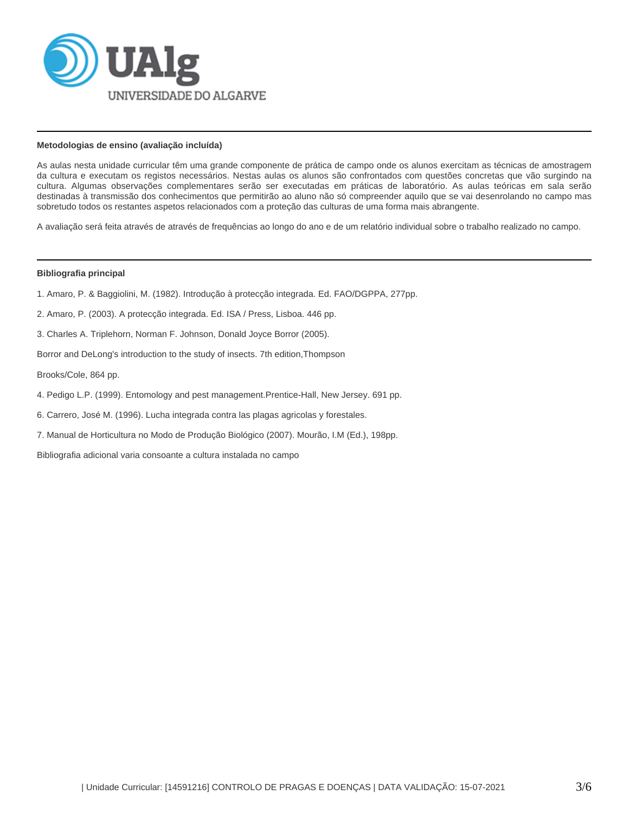

## **Metodologias de ensino (avaliação incluída)**

As aulas nesta unidade curricular têm uma grande componente de prática de campo onde os alunos exercitam as técnicas de amostragem da cultura e executam os registos necessários. Nestas aulas os alunos são confrontados com questões concretas que vão surgindo na cultura. Algumas observações complementares serão ser executadas em práticas de laboratório. As aulas teóricas em sala serão destinadas à transmissão dos conhecimentos que permitirão ao aluno não só compreender aquilo que se vai desenrolando no campo mas sobretudo todos os restantes aspetos relacionados com a proteção das culturas de uma forma mais abrangente.

A avaliação será feita através de através de frequências ao longo do ano e de um relatório individual sobre o trabalho realizado no campo.

#### **Bibliografia principal**

- 1. Amaro, P. & Baggiolini, M. (1982). Introdução à protecção integrada. Ed. FAO/DGPPA, 277pp.
- 2. Amaro, P. (2003). A protecção integrada. Ed. ISA / Press, Lisboa. 446 pp.
- 3. Charles A. Triplehorn, Norman F. Johnson, Donald Joyce Borror (2005).
- Borror and DeLong's introduction to the study of insects. 7th edition,Thompson

Brooks/Cole, 864 pp.

- 4. Pedigo L.P. (1999). Entomology and pest management.Prentice-Hall, New Jersey. 691 pp.
- 6. Carrero, José M. (1996). Lucha integrada contra las plagas agricolas y forestales.
- 7. Manual de Horticultura no Modo de Produção Biológico (2007). Mourão, I.M (Ed.), 198pp.

Bibliografia adicional varia consoante a cultura instalada no campo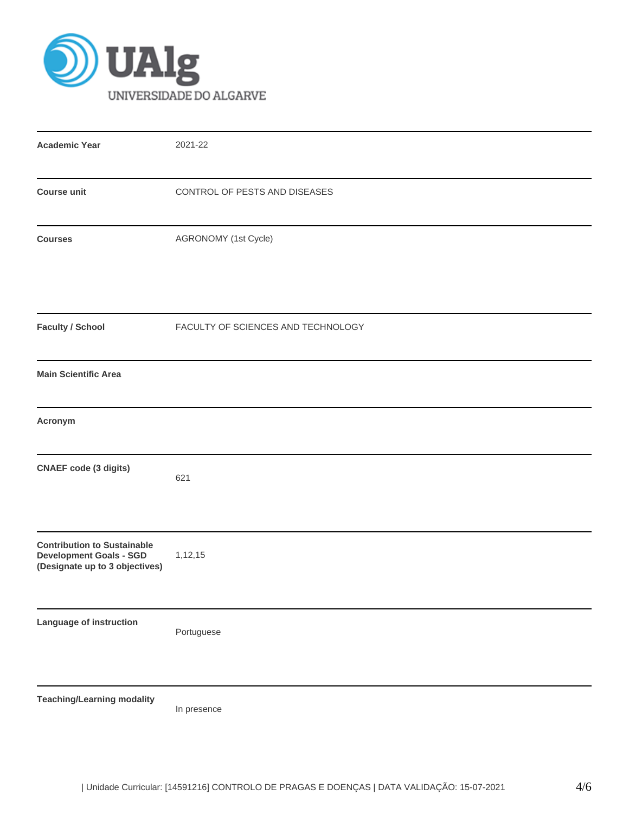

| <b>Academic Year</b>                                                                                   | 2021-22                            |  |  |  |  |  |
|--------------------------------------------------------------------------------------------------------|------------------------------------|--|--|--|--|--|
|                                                                                                        |                                    |  |  |  |  |  |
| CONTROL OF PESTS AND DISEASES<br><b>Course unit</b>                                                    |                                    |  |  |  |  |  |
| <b>Courses</b>                                                                                         | AGRONOMY (1st Cycle)               |  |  |  |  |  |
| <b>Faculty / School</b>                                                                                | FACULTY OF SCIENCES AND TECHNOLOGY |  |  |  |  |  |
| <b>Main Scientific Area</b>                                                                            |                                    |  |  |  |  |  |
| Acronym                                                                                                |                                    |  |  |  |  |  |
| <b>CNAEF</b> code (3 digits)                                                                           | 621                                |  |  |  |  |  |
| <b>Contribution to Sustainable</b><br><b>Development Goals - SGD</b><br>(Designate up to 3 objectives) | 1,12,15                            |  |  |  |  |  |
| Language of instruction                                                                                | Portuguese                         |  |  |  |  |  |
| <b>Teaching/Learning modality</b>                                                                      | In presence                        |  |  |  |  |  |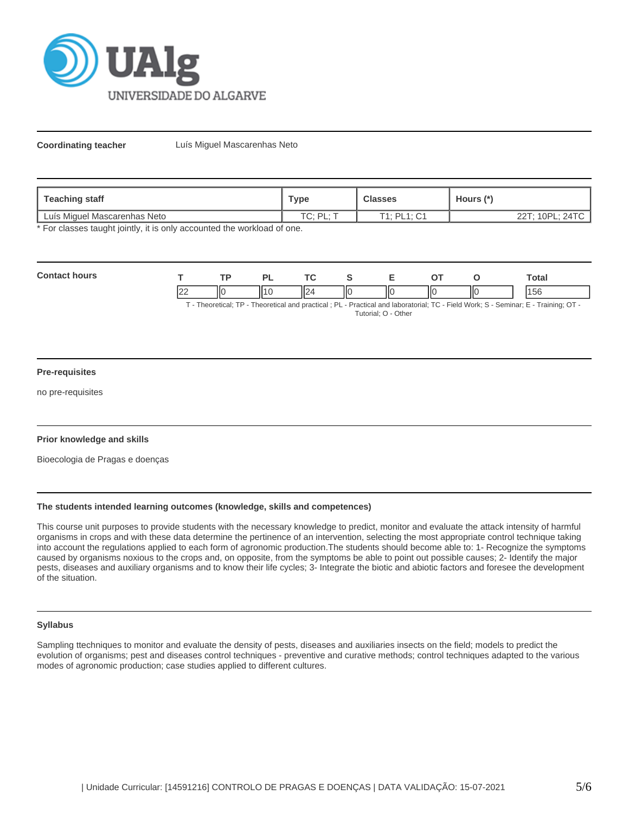

**Coordinating teacher** Luís Miguel Mascarenhas Neto

| Teaching staff               | <b>Classes</b><br>⊤уре  |                            | Hours (*        |
|------------------------------|-------------------------|----------------------------|-----------------|
| Luís Miguel Mascarenhas Neto | TM DI -<br>$\cup$ . FL. | F1 · DI 1 · C1<br>◡<br>. . | 22T; 10PL; 24TC |

\* For classes taught jointly, it is only accounted the workload of one.

| Con<br> |           | TD. | <b>D</b> | $\sim$        |    | - | -- |     | otal |
|---------|-----------|-----|----------|---------------|----|---|----|-----|------|
|         | <u>__</u> | ШC  |          | Η٥<br>Ш<br>⊔∠ | ШC |   | IЮ | IІC | 15C  |

T - Theoretical; TP - Theoretical and practical ; PL - Practical and laboratorial; TC - Field Work; S - Seminar; E - Training; OT - Tutorial; O - Other

#### **Pre-requisites**

no pre-requisites

## **Prior knowledge and skills**

Bioecologia de Pragas e doenças

## **The students intended learning outcomes (knowledge, skills and competences)**

This course unit purposes to provide students with the necessary knowledge to predict, monitor and evaluate the attack intensity of harmful organisms in crops and with these data determine the pertinence of an intervention, selecting the most appropriate control technique taking into account the regulations applied to each form of agronomic production.The students should become able to: 1- Recognize the symptoms caused by organisms noxious to the crops and, on opposite, from the symptoms be able to point out possible causes; 2- Identify the major pests, diseases and auxiliary organisms and to know their life cycles; 3- Integrate the biotic and abiotic factors and foresee the development of the situation.

# **Syllabus**

Sampling ttechniques to monitor and evaluate the density of pests, diseases and auxiliaries insects on the field; models to predict the evolution of organisms; pest and diseases control techniques - preventive and curative methods; control techniques adapted to the various modes of agronomic production; case studies applied to different cultures.